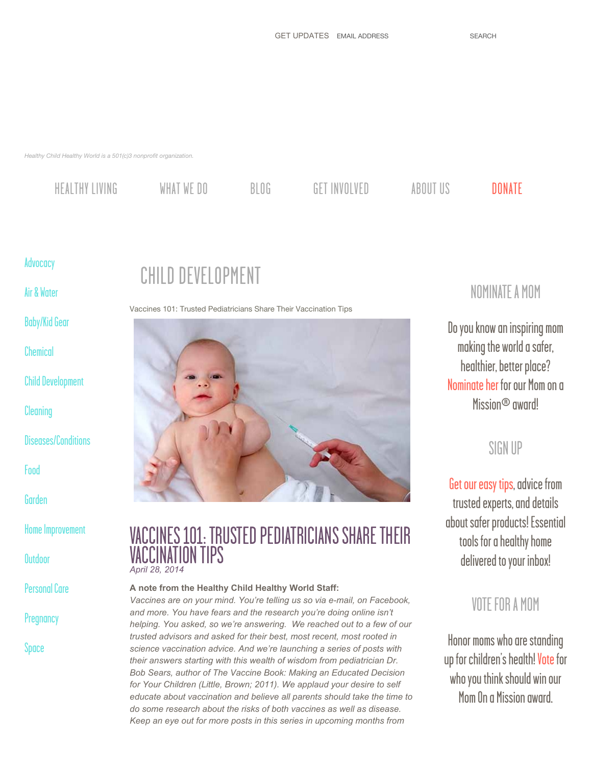*Healthy Child Healthy World is a 501(c)3 nonprofit organization.*

[HEALTHY LIVING](http://healthychild.org/healthy-living/) [WHAT WE DO](http://healthychild.org/what-we-do/) [BLOG](http://healthychild.org/blog/) [GET INVOLVED](http://healthychild.org/get-involved/) [ABOUT US](http://healthychild.org/about-us/) [DONATE](http://healthychild.org/donate/)

### [Advocacy](http://healthychild.org/blog-topic/advocacy/)

[Air & Water](http://healthychild.org/blog-topic/air-water/)

[Baby/Kid Gear](http://healthychild.org/blog-topic/babykid-gear/)

[Chemical](http://healthychild.org/blog-topic/chemical-blog-categories/)

[Child Development](http://healthychild.org/blog-topic/child-development/)

**[Cleaning](http://healthychild.org/blog-topic/cleaning/)** 

[Diseases/Conditions](http://healthychild.org/blog-topic/diseases-conditions/)

[Food](http://healthychild.org/blog-topic/food/)

[Garden](http://healthychild.org/blog-topic/garden-blog-categories/)

[Home Improvement](http://healthychild.org/blog-topic/home-improvement/)

**[Outdoor](http://healthychild.org/blog-topic/outdoor/)** 

[Personal Care](http://healthychild.org/blog-topic/personal-care/)

**[Pregnancy](http://healthychild.org/blog-topic/pregnancy/)** 

[Space](http://healthychild.org/blog-topic/space/)

## CHILD DEVELOPMENT

Vaccines 101: Trusted Pediatricians Share Their Vaccination Tips



## VACCINES 101: TRUSTED PEDIATRICIANS SHARE THEIR VACCINATION TIPS *April 28, 2014*

#### **A note from the Healthy Child Healthy World Staff:**

*Vaccines are on your mind. You're telling us so via e-mail, on Facebook, and more. You have fears and the research you're doing online isn't helping. You asked, so we're answering. We reached out to a few of our trusted advisors and asked for their best, most recent, most rooted in science vaccination advice. And we're launching a series of posts with their answers starting with this wealth of wisdom from pediatrician Dr. Bob Sears, author of The Vaccine Book: Making an Educated Decision for Your Children (Little, Brown; 2011). We applaud your desire to self educate about vaccination and believe all parents should take the time to do some research about the risks of both vaccines as well as disease. Keep an eye out for more posts in this series in upcoming months from*

## NOMINATE A MOM

Do you know an inspiring mom making the world a safer, healthier, better place? [Nominate her](http://www.healthychild.org/mom-on-a-mission/nominate/) for our Mom on a Mission<sup>®</sup> award!

## SIGN UP

[Get our easy tips,](http://salsa3.salsalabs.com/o/50833/p/salsa/web/common/public/signup?signup_page_KEY=7623) advice from trusted experts, and details about safer products! Essential tools for a healthy home delivered to your inbox!

## VOTE FOR A MOM

Honor moms who are standing up for children's health! [Vote](http://healthychild.org/get-involved/mom-on-a-mission/) for who you think should win our Mom On a Mission award.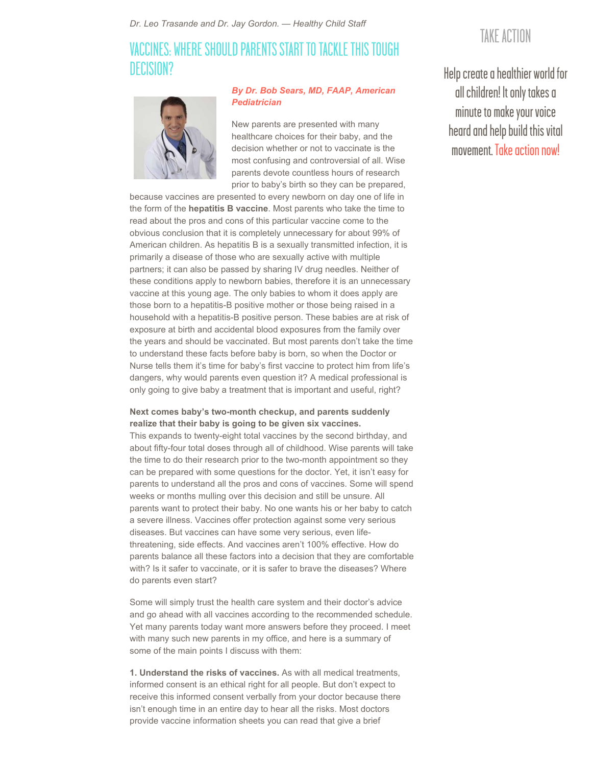*Dr. Leo Trasande and Dr. Jay Gordon. — Healthy Child Staff*

## VACCINES: WHERE SHOULD PARENTS START TO TACKLE THIS TOUGH DECISION?



#### *[By Dr. Bob Sears, MD, FAAP, American](http://www.askdrsears.com/) Pediatrician*

New parents are presented with many healthcare choices for their baby, and the decision whether or not to vaccinate is the most confusing and controversial of all. Wise parents devote countless hours of research prior to baby's birth so they can be prepared,

because vaccines are presented to every newborn on day one of life in the form of the **hepatitis B vaccine**. Most parents who take the time to read about the pros and cons of this particular vaccine come to the obvious conclusion that it is completely unnecessary for about 99% of American children. As hepatitis B is a sexually transmitted infection, it is primarily a disease of those who are sexually active with multiple partners; it can also be passed by sharing IV drug needles. Neither of these conditions apply to newborn babies, therefore it is an unnecessary vaccine at this young age. The only babies to whom it does apply are those born to a hepatitis-B positive mother or those being raised in a household with a hepatitis-B positive person. These babies are at risk of exposure at birth and accidental blood exposures from the family over the years and should be vaccinated. But most parents don't take the time to understand these facts before baby is born, so when the Doctor or Nurse tells them it's time for baby's first vaccine to protect him from life's dangers, why would parents even question it? A medical professional is only going to give baby a treatment that is important and useful, right?

#### **Next comes baby's two-month checkup, and parents suddenly realize that their baby is going to be given six vaccines.**

This expands to twenty-eight total vaccines by the second birthday, and about fifty-four total doses through all of childhood. Wise parents will take the time to do their research prior to the two-month appointment so they can be prepared with some questions for the doctor. Yet, it isn't easy for parents to understand all the pros and cons of vaccines. Some will spend weeks or months mulling over this decision and still be unsure. All parents want to protect their baby. No one wants his or her baby to catch a severe illness. Vaccines offer protection against some very serious diseases. But vaccines can have some very serious, even lifethreatening, side effects. And vaccines aren't 100% effective. How do parents balance all these factors into a decision that they are comfortable with? Is it safer to vaccinate, or it is safer to brave the diseases? Where do parents even start?

Some will simply trust the health care system and their doctor's advice and go ahead with all vaccines according to the recommended schedule. Yet many parents today want more answers before they proceed. I meet with many such new parents in my office, and here is a summary of some of the main points I discuss with them:

**1. Understand the risks of vaccines.** As with all medical treatments, informed consent is an ethical right for all people. But don't expect to receive this informed consent verbally from your doctor because there isn't enough time in an entire day to hear all the risks. Most doctors provide vaccine information sheets you can read that give a brief

## TAKE ACTION

Help create a healthier world for all children! It only takes a minute to make your voice heard and help build this vital movement. Take action nowl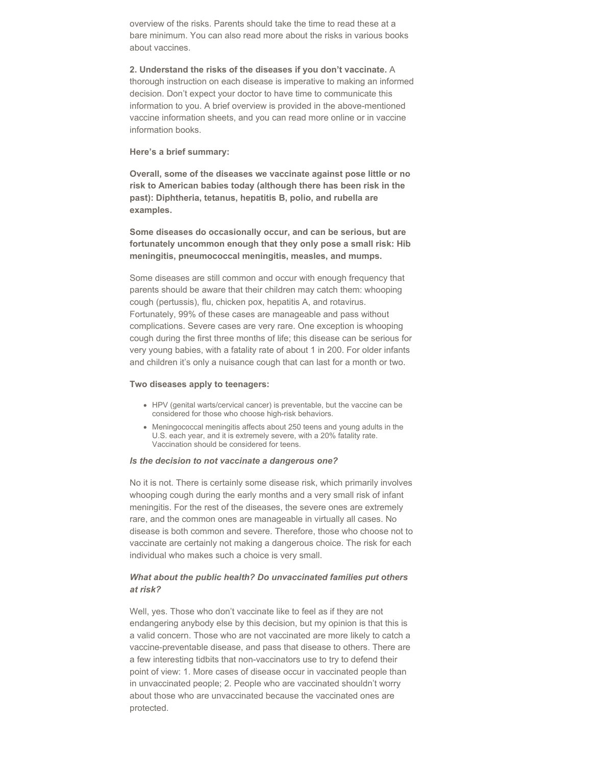overview of the risks. Parents should take the time to read these at a bare minimum. You can also read more about the risks in various books about vaccines.

**2. Understand the risks of the diseases if you don't vaccinate.** A thorough instruction on each disease is imperative to making an informed decision. Don't expect your doctor to have time to communicate this information to you. A brief overview is provided in the above-mentioned vaccine information sheets, and you can read more online or in vaccine information books.

#### **Here's a brief summary:**

**Overall, some of the diseases we vaccinate against pose little or no risk to American babies today (although there has been risk in the past): Diphtheria, tetanus, hepatitis B, polio, and rubella are examples.**

**Some diseases do occasionally occur, and can be serious, but are fortunately uncommon enough that they only pose a small risk: Hib meningitis, pneumococcal meningitis, measles, and mumps.**

Some diseases are still common and occur with enough frequency that parents should be aware that their children may catch them: whooping cough (pertussis), flu, chicken pox, hepatitis A, and rotavirus. Fortunately, 99% of these cases are manageable and pass without complications. Severe cases are very rare. One exception is whooping cough during the first three months of life; this disease can be serious for very young babies, with a fatality rate of about 1 in 200. For older infants and children it's only a nuisance cough that can last for a month or two.

#### **Two diseases apply to teenagers:**

- HPV (genital warts/cervical cancer) is preventable, but the vaccine can be considered for those who choose high-risk behaviors.
- Meningococcal meningitis affects about 250 teens and young adults in the U.S. each year, and it is extremely severe, with a 20% fatality rate. Vaccination should be considered for teens.

#### *Is the decision to not vaccinate a dangerous one?*

No it is not. There is certainly some disease risk, which primarily involves whooping cough during the early months and a very small risk of infant meningitis. For the rest of the diseases, the severe ones are extremely rare, and the common ones are manageable in virtually all cases. No disease is both common and severe. Therefore, those who choose not to vaccinate are certainly not making a dangerous choice. The risk for each individual who makes such a choice is very small.

#### *What about the public health? Do unvaccinated families put others at risk?*

Well, yes. Those who don't vaccinate like to feel as if they are not endangering anybody else by this decision, but my opinion is that this is a valid concern. Those who are not vaccinated are more likely to catch a vaccine-preventable disease, and pass that disease to others. There are a few interesting tidbits that non-vaccinators use to try to defend their point of view: 1. More cases of disease occur in vaccinated people than in unvaccinated people; 2. People who are vaccinated shouldn't worry about those who are unvaccinated because the vaccinated ones are protected.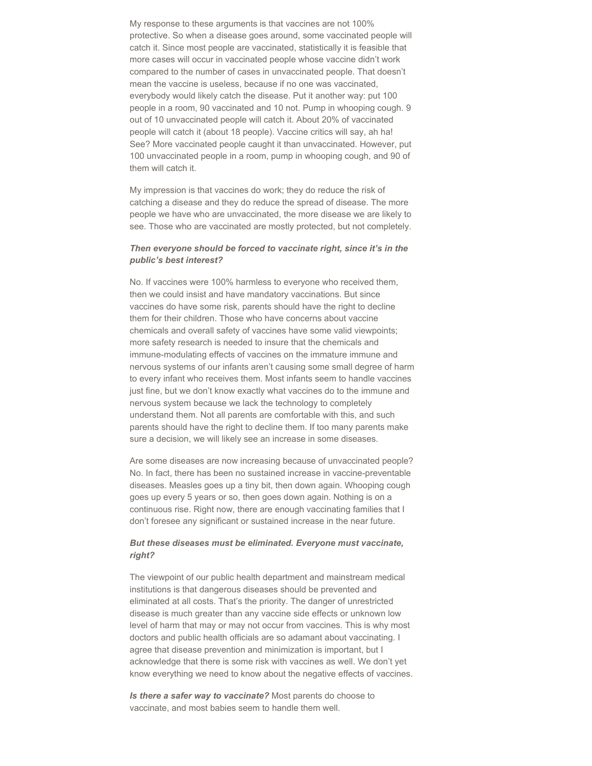My response to these arguments is that vaccines are not 100% protective. So when a disease goes around, some vaccinated people will catch it. Since most people are vaccinated, statistically it is feasible that more cases will occur in vaccinated people whose vaccine didn't work compared to the number of cases in unvaccinated people. That doesn't mean the vaccine is useless, because if no one was vaccinated, everybody would likely catch the disease. Put it another way: put 100 people in a room, 90 vaccinated and 10 not. Pump in whooping cough. 9 out of 10 unvaccinated people will catch it. About 20% of vaccinated people will catch it (about 18 people). Vaccine critics will say, ah ha! See? More vaccinated people caught it than unvaccinated. However, put 100 unvaccinated people in a room, pump in whooping cough, and 90 of them will catch it.

My impression is that vaccines do work; they do reduce the risk of catching a disease and they do reduce the spread of disease. The more people we have who are unvaccinated, the more disease we are likely to see. Those who are vaccinated are mostly protected, but not completely.

#### *Then everyone should be forced to vaccinate right, since it's in the public's best interest?*

No. If vaccines were 100% harmless to everyone who received them, then we could insist and have mandatory vaccinations. But since vaccines do have some risk, parents should have the right to decline them for their children. Those who have concerns about vaccine chemicals and overall safety of vaccines have some valid viewpoints; more safety research is needed to insure that the chemicals and immune-modulating effects of vaccines on the immature immune and nervous systems of our infants aren't causing some small degree of harm to every infant who receives them. Most infants seem to handle vaccines just fine, but we don't know exactly what vaccines do to the immune and nervous system because we lack the technology to completely understand them. Not all parents are comfortable with this, and such parents should have the right to decline them. If too many parents make sure a decision, we will likely see an increase in some diseases.

Are some diseases are now increasing because of unvaccinated people? No. In fact, there has been no sustained increase in vaccine-preventable diseases. Measles goes up a tiny bit, then down again. Whooping cough goes up every 5 years or so, then goes down again. Nothing is on a continuous rise. Right now, there are enough vaccinating families that I don't foresee any significant or sustained increase in the near future.

#### *But these diseases must be eliminated. Everyone must vaccinate, right?*

The viewpoint of our public health department and mainstream medical institutions is that dangerous diseases should be prevented and eliminated at all costs. That's the priority. The danger of unrestricted disease is much greater than any vaccine side effects or unknown low level of harm that may or may not occur from vaccines. This is why most doctors and public health officials are so adamant about vaccinating. I agree that disease prevention and minimization is important, but I acknowledge that there is some risk with vaccines as well. We don't yet know everything we need to know about the negative effects of vaccines.

*Is there a safer way to vaccinate?* Most parents do choose to vaccinate, and most babies seem to handle them well.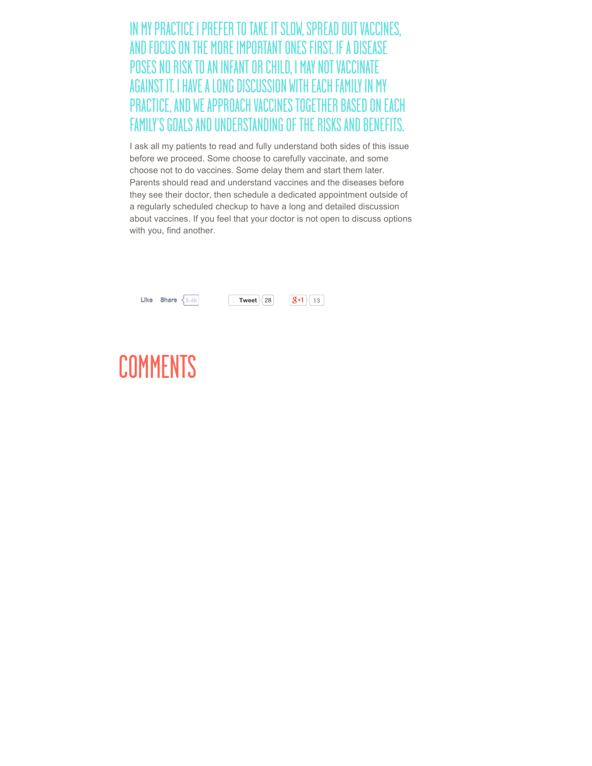IN MY PRACTICE I PREFER TO TAKE IT SLOW, SPREAD OUT VACCINES, AND FOCUS ON THE MORE IMPORTANT ONES FIRST. IF A DISEASE POSES NO RISK TO AN INFANT OR CHILD, I MAY NOT VACCINATE AGAINST IT. I HAVE A LONG DISCUSSION WITH EACH FAMILY IN MY PRACTICE, AND WE APPROACH VACCINES TOGETHER BASED ON EACH FAMILY'S GOALS AND UNDERSTANDING OF THE RISKS AND BENEFITS.

I ask all my patients to read and fully understand both sides of this issue before we proceed. Some choose to carefully vaccinate, and some choose not to do vaccines. Some delay them and start them later. Parents should read and understand vaccines and the diseases before they see their doctor, then schedule a dedicated appointment outside of a regularly scheduled checkup to have a long and detailed discussion about vaccines. If you feel that your doctor is not open to discuss options with you, find another.

| Like<br>Share $\leq$ 5 4k | 28<br>Tweet | 13 |
|---------------------------|-------------|----|
|---------------------------|-------------|----|

# COMMENTS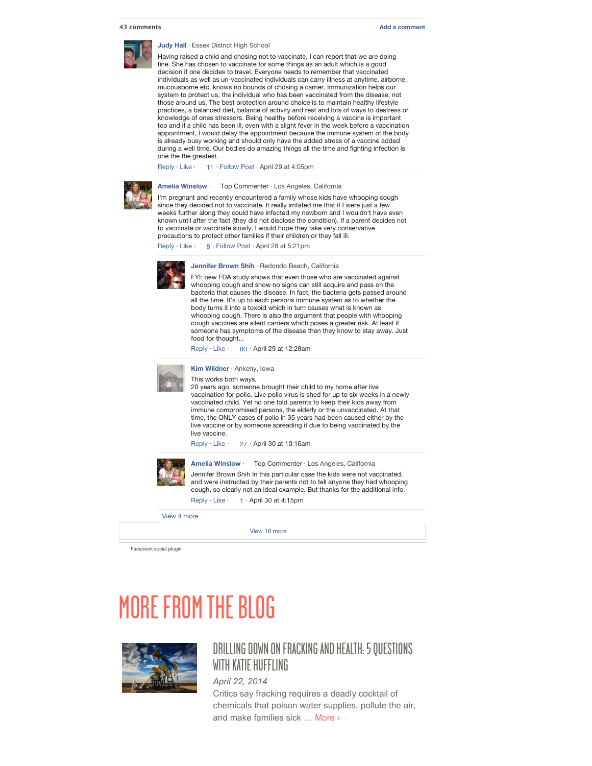

#### **[Judy Hall](https://www.facebook.com/judy.hall.3382)** · [Essex District High School](https://www.facebook.com/pages/Essex-District-High-School/105442666154971)

Having raised a child and chosing not to vaccinate, I can report that we are doing fine. She has chosen to vaccinate for some things as an adult which is a good decision if one decides to travel. Everyone needs to remember that vaccinated individuals as well as un-vaccinated individuals can carry illness at anytime, airborne, mucousborne etc, knows no bounds of chosing a carrier. Immunization helps our system to protect us, the individual who has been vaccinated from the disease, not those around us. The best protection around choice is to maintain healthy lifestyle practices, a balanced diet, balance of activity and rest and lots of ways to destress or knowledge of ones stressors. Being healthy before receiving a vaccine is important too and if a child has been ill, even with a slight fever in the week before a vaccination appointment, I would delay the appointment because the immune system of the body is already busy working and should only have the added stress of a vaccine added during a well time. Our bodies do amazing things all the time and fighting infection is one the the greatest.

[Reply](https://www.facebook.com/plugins/comments.php?api_key=&channel_url=http%3A%2F%2Fstatic.ak.facebook.com%2Fconnect%2Fxd_arbiter%2FdgdTycPTSRj.js%3Fversion%3D40%23cb%3Df3d4e4510%26domain%3Dhealthychild.org%26origin%3Dhttp%253A%252F%252Fhealthychild.org%252Ff257def974%26relation%3Dparent.parent&href=http%3A%2F%2Fhealthychild.org%2Fvaccines-101-trusted-pediatricians-share-their-vaccination-tips%2F&locale=en_US&numposts=2&sdk=joey&width=560#) · [Like](https://www.facebook.com/plugins/comments.php?api_key=&channel_url=http%3A%2F%2Fstatic.ak.facebook.com%2Fconnect%2Fxd_arbiter%2FdgdTycPTSRj.js%3Fversion%3D40%23cb%3Df3d4e4510%26domain%3Dhealthychild.org%26origin%3Dhttp%253A%252F%252Fhealthychild.org%252Ff257def974%26relation%3Dparent.parent&href=http%3A%2F%2Fhealthychild.org%2Fvaccines-101-trusted-pediatricians-share-their-vaccination-tips%2F&locale=en_US&numposts=2&sdk=joey&width=560#) · [11](https://www.facebook.com/plugins/comments.php?api_key=&channel_url=http%3A%2F%2Fstatic.ak.facebook.com%2Fconnect%2Fxd_arbiter%2FdgdTycPTSRj.js%3Fversion%3D40%23cb%3Df3d4e4510%26domain%3Dhealthychild.org%26origin%3Dhttp%253A%252F%252Fhealthychild.org%252Ff257def974%26relation%3Dparent.parent&href=http%3A%2F%2Fhealthychild.org%2Fvaccines-101-trusted-pediatricians-share-their-vaccination-tips%2F&locale=en_US&numposts=2&sdk=joey&width=560#) · [Follow Post](https://www.facebook.com/plugins/comments.php?api_key=&channel_url=http%3A%2F%2Fstatic.ak.facebook.com%2Fconnect%2Fxd_arbiter%2FdgdTycPTSRj.js%3Fversion%3D40%23cb%3Df3d4e4510%26domain%3Dhealthychild.org%26origin%3Dhttp%253A%252F%252Fhealthychild.org%252Ff257def974%26relation%3Dparent.parent&href=http%3A%2F%2Fhealthychild.org%2Fvaccines-101-trusted-pediatricians-share-their-vaccination-tips%2F&locale=en_US&numposts=2&sdk=joey&width=560#) · [April 29 at 4:05pm](http://l.facebook.com/l.php?u=http%3A%2F%2Fhealthychild.org%2Fvaccines-101-trusted-pediatricians-share-their-vaccination-tips%2F%3Ffb_comment_id%3Dfbc_1427829600809689_1428237270768922_1428237270768922&h=uAQGmxYZN&s=1)



#### **[Amelia Winslow](https://www.facebook.com/amelia.winslow)** · Top Commenter · [Los Angeles, California](https://www.facebook.com/pages/Los-Angeles-California/110970792260960)

I'm pregnant and recently encountered a family whose kids have whooping cough since they decided not to vaccinate. It really irritated me that if I were just a few weeks further along they could have infected my newborn and I wouldn't have even known until after the fact (they did not disclose the condition). If a parent decides not to vaccinate or vaccinate slowly, I would hope they take very conservative precautions to protect other families if their children or they fall ill.

[Reply](https://www.facebook.com/plugins/comments.php?api_key=&channel_url=http%3A%2F%2Fstatic.ak.facebook.com%2Fconnect%2Fxd_arbiter%2FdgdTycPTSRj.js%3Fversion%3D40%23cb%3Df3d4e4510%26domain%3Dhealthychild.org%26origin%3Dhttp%253A%252F%252Fhealthychild.org%252Ff257def974%26relation%3Dparent.parent&href=http%3A%2F%2Fhealthychild.org%2Fvaccines-101-trusted-pediatricians-share-their-vaccination-tips%2F&locale=en_US&numposts=2&sdk=joey&width=560#) · [Like](https://www.facebook.com/plugins/comments.php?api_key=&channel_url=http%3A%2F%2Fstatic.ak.facebook.com%2Fconnect%2Fxd_arbiter%2FdgdTycPTSRj.js%3Fversion%3D40%23cb%3Df3d4e4510%26domain%3Dhealthychild.org%26origin%3Dhttp%253A%252F%252Fhealthychild.org%252Ff257def974%26relation%3Dparent.parent&href=http%3A%2F%2Fhealthychild.org%2Fvaccines-101-trusted-pediatricians-share-their-vaccination-tips%2F&locale=en_US&numposts=2&sdk=joey&width=560#) ·8 · [Follow Post](https://www.facebook.com/plugins/comments.php?api_key=&channel_url=http%3A%2F%2Fstatic.ak.facebook.com%2Fconnect%2Fxd_arbiter%2FdgdTycPTSRj.js%3Fversion%3D40%23cb%3Df3d4e4510%26domain%3Dhealthychild.org%26origin%3Dhttp%253A%252F%252Fhealthychild.org%252Ff257def974%26relation%3Dparent.parent&href=http%3A%2F%2Fhealthychild.org%2Fvaccines-101-trusted-pediatricians-share-their-vaccination-tips%2F&locale=en_US&numposts=2&sdk=joey&width=560#) · [April 28 at 5:21pm](http://l.facebook.com/l.php?u=http%3A%2F%2Fhealthychild.org%2Fvaccines-101-trusted-pediatricians-share-their-vaccination-tips%2F%3Ffb_comment_id%3Dfbc_1427829600809689_1427924797466836_1427924797466836&h=LAQFALeMq&s=1)



**[Jennifer Brown Shih](https://www.facebook.com/jennifer.b.shih)** · [Redondo Beach, California](https://www.facebook.com/pages/Redondo-Beach-California/109925612366788)

FYI: new FDA study shows that even those who are vaccinated against whooping cough and show no signs can still acquire and pass on the bacteria that causes the disease. In fact, the bacteria gets passed around all the time. It's up to each persons immune system as to whether the body turns it into a toxoid which in turn causes what is known as whooping cough. There is also the argument that people with whooping cough vaccines are silent carriers which poses a greater risk. At least if someone has symptoms of the disease then they know to stay away. Just food for thought...

[Reply](https://www.facebook.com/plugins/comments.php?api_key=&channel_url=http%3A%2F%2Fstatic.ak.facebook.com%2Fconnect%2Fxd_arbiter%2FdgdTycPTSRj.js%3Fversion%3D40%23cb%3Df3d4e4510%26domain%3Dhealthychild.org%26origin%3Dhttp%253A%252F%252Fhealthychild.org%252Ff257def974%26relation%3Dparent.parent&href=http%3A%2F%2Fhealthychild.org%2Fvaccines-101-trusted-pediatricians-share-their-vaccination-tips%2F&locale=en_US&numposts=2&sdk=joey&width=560#) · [Like](https://www.facebook.com/plugins/comments.php?api_key=&channel_url=http%3A%2F%2Fstatic.ak.facebook.com%2Fconnect%2Fxd_arbiter%2FdgdTycPTSRj.js%3Fversion%3D40%23cb%3Df3d4e4510%26domain%3Dhealthychild.org%26origin%3Dhttp%253A%252F%252Fhealthychild.org%252Ff257def974%26relation%3Dparent.parent&href=http%3A%2F%2Fhealthychild.org%2Fvaccines-101-trusted-pediatricians-share-their-vaccination-tips%2F&locale=en_US&numposts=2&sdk=joey&width=560#) · [80](https://www.facebook.com/plugins/comments.php?api_key=&channel_url=http%3A%2F%2Fstatic.ak.facebook.com%2Fconnect%2Fxd_arbiter%2FdgdTycPTSRj.js%3Fversion%3D40%23cb%3Df3d4e4510%26domain%3Dhealthychild.org%26origin%3Dhttp%253A%252F%252Fhealthychild.org%252Ff257def974%26relation%3Dparent.parent&href=http%3A%2F%2Fhealthychild.org%2Fvaccines-101-trusted-pediatricians-share-their-vaccination-tips%2F&locale=en_US&numposts=2&sdk=joey&width=560#) · April 29 at 12:28am



**[Kim Wildner](https://www.facebook.com/kim.wildner)** · [Ankeny, Iowa](https://www.facebook.com/pages/Ankeny-Iowa/104117732957665)

This works both ways.

20 years ago, someone brought their child to my home after live vaccination for polio. Live polio virus is shed for up to six weeks in a newly vaccinated child. Yet no one told parents to keep their kids away from immune compromised persons, the elderly or the unvaccinated. At that time, the ONLY cases of polio in 35 years had been caused either by the live vaccine or by someone spreading it due to being vaccinated by the live vaccine.

[Reply](https://www.facebook.com/plugins/comments.php?api_key=&channel_url=http%3A%2F%2Fstatic.ak.facebook.com%2Fconnect%2Fxd_arbiter%2FdgdTycPTSRj.js%3Fversion%3D40%23cb%3Df3d4e4510%26domain%3Dhealthychild.org%26origin%3Dhttp%253A%252F%252Fhealthychild.org%252Ff257def974%26relation%3Dparent.parent&href=http%3A%2F%2Fhealthychild.org%2Fvaccines-101-trusted-pediatricians-share-their-vaccination-tips%2F&locale=en_US&numposts=2&sdk=joey&width=560#) · [Like](https://www.facebook.com/plugins/comments.php?api_key=&channel_url=http%3A%2F%2Fstatic.ak.facebook.com%2Fconnect%2Fxd_arbiter%2FdgdTycPTSRj.js%3Fversion%3D40%23cb%3Df3d4e4510%26domain%3Dhealthychild.org%26origin%3Dhttp%253A%252F%252Fhealthychild.org%252Ff257def974%26relation%3Dparent.parent&href=http%3A%2F%2Fhealthychild.org%2Fvaccines-101-trusted-pediatricians-share-their-vaccination-tips%2F&locale=en_US&numposts=2&sdk=joey&width=560#) · [27](https://www.facebook.com/plugins/comments.php?api_key=&channel_url=http%3A%2F%2Fstatic.ak.facebook.com%2Fconnect%2Fxd_arbiter%2FdgdTycPTSRj.js%3Fversion%3D40%23cb%3Df3d4e4510%26domain%3Dhealthychild.org%26origin%3Dhttp%253A%252F%252Fhealthychild.org%252Ff257def974%26relation%3Dparent.parent&href=http%3A%2F%2Fhealthychild.org%2Fvaccines-101-trusted-pediatricians-share-their-vaccination-tips%2F&locale=en_US&numposts=2&sdk=joey&width=560#) · April 30 at 10:16am



**[Amelia Winslow](https://www.facebook.com/amelia.winslow)** · Top Commenter · [Los Angeles, California](https://www.facebook.com/pages/Los-Angeles-California/110970792260960)

Jennifer Brown Shih In this particular case the kids were not vaccinated, and were instructed by their parents not to tell anyone they had whooping cough, so clearly not an ideal example. But thanks for the additional info.

[Reply](https://www.facebook.com/plugins/comments.php?api_key=&channel_url=http%3A%2F%2Fstatic.ak.facebook.com%2Fconnect%2Fxd_arbiter%2FdgdTycPTSRj.js%3Fversion%3D40%23cb%3Df3d4e4510%26domain%3Dhealthychild.org%26origin%3Dhttp%253A%252F%252Fhealthychild.org%252Ff257def974%26relation%3Dparent.parent&href=http%3A%2F%2Fhealthychild.org%2Fvaccines-101-trusted-pediatricians-share-their-vaccination-tips%2F&locale=en_US&numposts=2&sdk=joey&width=560#) · [Like](https://www.facebook.com/plugins/comments.php?api_key=&channel_url=http%3A%2F%2Fstatic.ak.facebook.com%2Fconnect%2Fxd_arbiter%2FdgdTycPTSRj.js%3Fversion%3D40%23cb%3Df3d4e4510%26domain%3Dhealthychild.org%26origin%3Dhttp%253A%252F%252Fhealthychild.org%252Ff257def974%26relation%3Dparent.parent&href=http%3A%2F%2Fhealthychild.org%2Fvaccines-101-trusted-pediatricians-share-their-vaccination-tips%2F&locale=en_US&numposts=2&sdk=joey&width=560#) · [1](https://www.facebook.com/plugins/comments.php?api_key=&channel_url=http%3A%2F%2Fstatic.ak.facebook.com%2Fconnect%2Fxd_arbiter%2FdgdTycPTSRj.js%3Fversion%3D40%23cb%3Df3d4e4510%26domain%3Dhealthychild.org%26origin%3Dhttp%253A%252F%252Fhealthychild.org%252Ff257def974%26relation%3Dparent.parent&href=http%3A%2F%2Fhealthychild.org%2Fvaccines-101-trusted-pediatricians-share-their-vaccination-tips%2F&locale=en_US&numposts=2&sdk=joey&width=560#) · April 30 at 4:15pm

[View 4 more](https://www.facebook.com/plugins/comments.php?api_key=&channel_url=http%3A%2F%2Fstatic.ak.facebook.com%2Fconnect%2Fxd_arbiter%2FdgdTycPTSRj.js%3Fversion%3D40%23cb%3Df3d4e4510%26domain%3Dhealthychild.org%26origin%3Dhttp%253A%252F%252Fhealthychild.org%252Ff257def974%26relation%3Dparent.parent&href=http%3A%2F%2Fhealthychild.org%2Fvaccines-101-trusted-pediatricians-share-their-vaccination-tips%2F&locale=en_US&numposts=2&sdk=joey&width=560#)

[View 18 more](https://www.facebook.com/plugins/comments.php?api_key=&channel_url=http%3A%2F%2Fstatic.ak.facebook.com%2Fconnect%2Fxd_arbiter%2FdgdTycPTSRj.js%3Fversion%3D40%23cb%3Df3d4e4510%26domain%3Dhealthychild.org%26origin%3Dhttp%253A%252F%252Fhealthychild.org%252Ff257def974%26relation%3Dparent.parent&href=http%3A%2F%2Fhealthychild.org%2Fvaccines-101-trusted-pediatricians-share-their-vaccination-tips%2F&locale=en_US&numposts=2&sdk=joey&width=560#)

[Facebook social plugin](https://developers.facebook.com/docs/plugins/?footer=1)

## MORE FROM THE BLOG



## [DRILLING DOWN ON FRACKING AND HEALTH: 5 QUESTIONS](http://healthychild.org/drilling-down-on-fracking-and-health-5-questions-with-katie-huffling/) WITH KATIF HIIFFI ING

*April 22, 2014* Critics say fracking requires a deadly cocktail of chemicals that poison water supplies, pollute the air, and make families sick … [More ›](http://healthychild.org/drilling-down-on-fracking-and-health-5-questions-with-katie-huffling/)